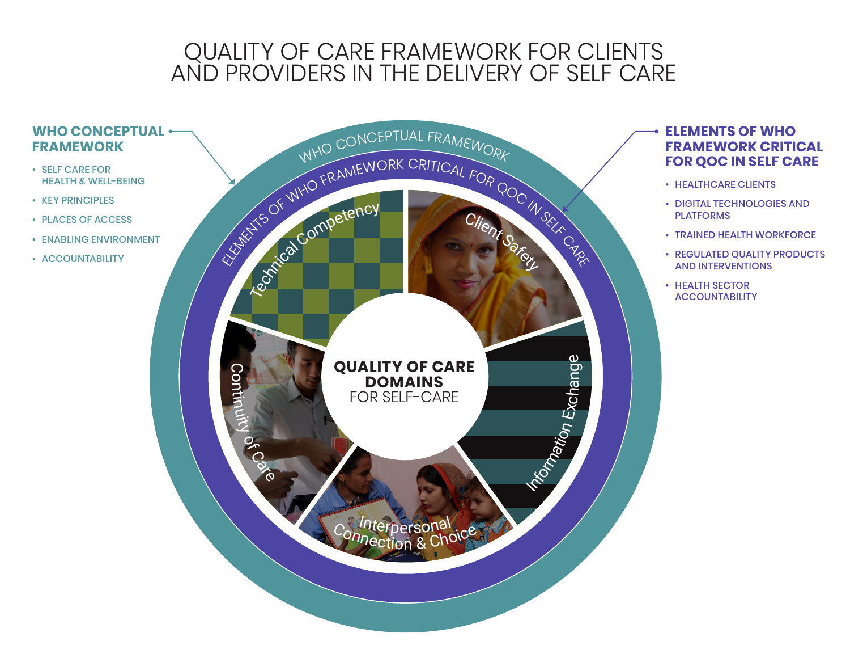## QUALITY OF CARE FRAMEWORK FOR CLIENTS AND PROVIDERS IN THE DELIVERY OF SELF CARE

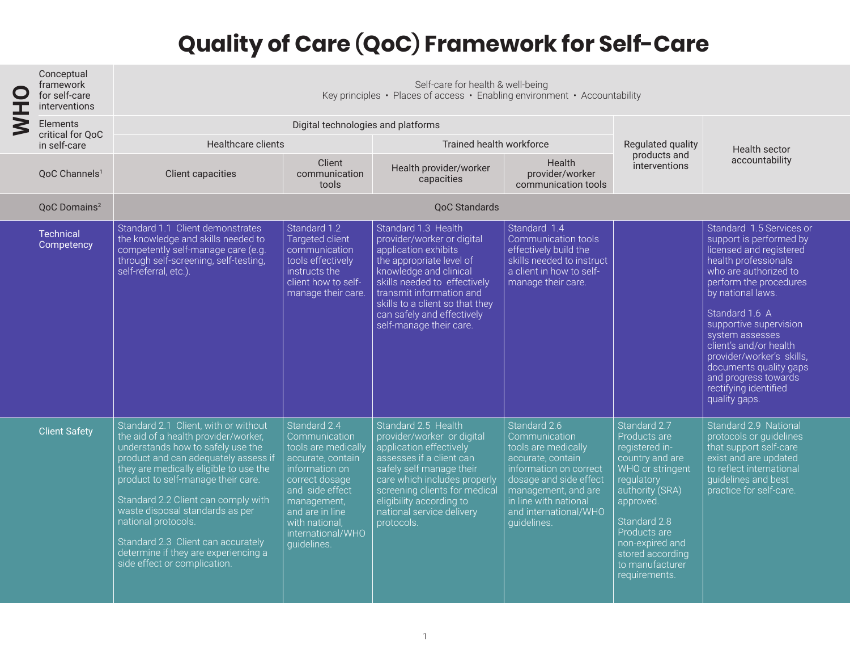## **Quality of Care (QoC) Framework for Self-Care**

| ┰                   | Conceptual<br>framework<br>for self-care<br>interventions | Self-care for health & well-being<br>Key principles • Places of access • Enabling environment • Accountability                                                                                                                                                                                                                                                                                                                                           |                                                                                                                                                                                                                          |                                                                                                                                                                                                                                                                                         |                                                                                                                                                                                                                       |                                                                                                                                                                                                                                                |                                                                                                                                                                                                                                                                                                                                                                                                  |  |
|---------------------|-----------------------------------------------------------|----------------------------------------------------------------------------------------------------------------------------------------------------------------------------------------------------------------------------------------------------------------------------------------------------------------------------------------------------------------------------------------------------------------------------------------------------------|--------------------------------------------------------------------------------------------------------------------------------------------------------------------------------------------------------------------------|-----------------------------------------------------------------------------------------------------------------------------------------------------------------------------------------------------------------------------------------------------------------------------------------|-----------------------------------------------------------------------------------------------------------------------------------------------------------------------------------------------------------------------|------------------------------------------------------------------------------------------------------------------------------------------------------------------------------------------------------------------------------------------------|--------------------------------------------------------------------------------------------------------------------------------------------------------------------------------------------------------------------------------------------------------------------------------------------------------------------------------------------------------------------------------------------------|--|
| $\overline{\bf{S}}$ | Elements<br>critical for QoC<br>in self-care              | Digital technologies and platforms                                                                                                                                                                                                                                                                                                                                                                                                                       |                                                                                                                                                                                                                          |                                                                                                                                                                                                                                                                                         |                                                                                                                                                                                                                       |                                                                                                                                                                                                                                                |                                                                                                                                                                                                                                                                                                                                                                                                  |  |
|                     |                                                           | Healthcare clients                                                                                                                                                                                                                                                                                                                                                                                                                                       |                                                                                                                                                                                                                          | Trained health workforce                                                                                                                                                                                                                                                                |                                                                                                                                                                                                                       | Regulated quality                                                                                                                                                                                                                              | <b>Health sector</b>                                                                                                                                                                                                                                                                                                                                                                             |  |
|                     | OoC Channels <sup>1</sup>                                 | <b>Client capacities</b>                                                                                                                                                                                                                                                                                                                                                                                                                                 | Client<br>communication<br>tools                                                                                                                                                                                         | Health provider/worker<br>capacities                                                                                                                                                                                                                                                    | <b>Health</b><br>provider/worker<br>communication tools                                                                                                                                                               | products and<br>interventions                                                                                                                                                                                                                  | accountability                                                                                                                                                                                                                                                                                                                                                                                   |  |
|                     | QoC Domains <sup>2</sup>                                  | <b>OoC Standards</b>                                                                                                                                                                                                                                                                                                                                                                                                                                     |                                                                                                                                                                                                                          |                                                                                                                                                                                                                                                                                         |                                                                                                                                                                                                                       |                                                                                                                                                                                                                                                |                                                                                                                                                                                                                                                                                                                                                                                                  |  |
|                     | <b>Technical</b><br>Competency                            | Standard 1.1 Client demonstrates<br>the knowledge and skills needed to<br>competently self-manage care (e.g.<br>through self-screening, self-testing,<br>self-referral, etc.).                                                                                                                                                                                                                                                                           | Standard 1.2<br>Targeted client<br>communication<br>tools effectively<br>instructs the<br>client how to self-<br>manage their care.                                                                                      | Standard 1.3 Health<br>provider/worker or digital<br>application exhibits<br>the appropriate level of<br>knowledge and clinical<br>skills needed to effectively<br>transmit information and<br>skills to a client so that they<br>can safely and effectively<br>self-manage their care. | Standard 1.4<br>Communication tools<br>effectively build the<br>skills needed to instruct<br>a client in how to self-<br>manage their care.                                                                           |                                                                                                                                                                                                                                                | Standard 1.5 Services or<br>support is performed by<br>licensed and registered<br>health professionals<br>who are authorized to<br>perform the procedures<br>by national laws.<br>Standard 1.6 A<br>supportive supervision<br>system assesses<br>client's and/or health<br>provider/worker's skills,<br>documents quality gaps<br>and progress towards<br>rectifying identified<br>quality gaps. |  |
|                     | <b>Client Safety</b>                                      | Standard 2.1 Client, with or without<br>the aid of a health provider/worker,<br>understands how to safely use the<br>product and can adequately assess if<br>they are medically eligible to use the<br>product to self-manage their care.<br>Standard 2.2 Client can comply with<br>waste disposal standards as per<br>national protocols.<br>Standard 2.3 Client can accurately<br>determine if they are experiencing a<br>side effect or complication. | Standard 2.4<br>Communication<br>tools are medically<br>accurate, contain<br>information on<br>correct dosage<br>and side effect<br>management,<br>and are in line<br>with national,<br>international/WHO<br>quidelines. | Standard 2.5 Health<br>provider/worker or digital<br>application effectively<br>assesses if a client can<br>safely self manage their<br>care which includes properly<br>screening clients for medical<br>eligibility according to<br>national service delivery<br>protocols.            | Standard 2.6<br>Communication<br>tools are medically<br>accurate, contain<br>information on correct<br>dosage and side effect<br>management, and are<br>in line with national<br>and international/WHO<br>quidelines. | Standard 2.7<br>Products are<br>registered in-<br>country and are<br>WHO or stringent<br>regulatory<br>authority (SRA)<br>approved.<br>Standard 2.8<br>Products are<br>non-expired and<br>stored according<br>to manufacturer<br>requirements. | Standard 2.9 National<br>protocols or quidelines<br>that support self-care<br>exist and are updated<br>to reflect international<br>quidelines and best<br>practice for self-care.                                                                                                                                                                                                                |  |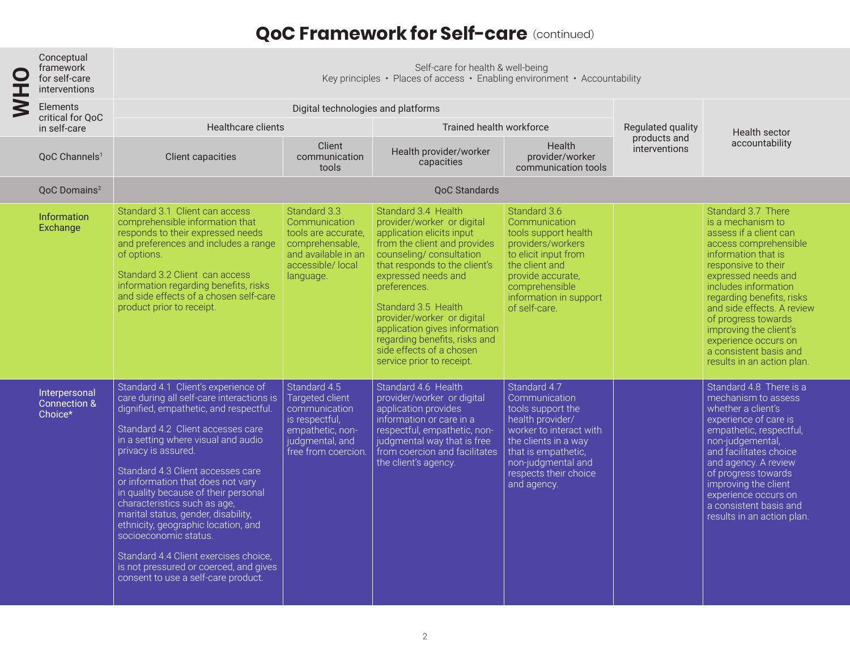## **QoC Framework for Self-care** (continued)

| I | Conceptual<br>framework<br>for self-care<br>interventions | Self-care for health & well-being<br>Key principles • Places of access • Enabling environment • Accountability                                                                                                                                                                                                                                                                                                                                                                                                                                                                                                   |                                                                                                                                  |                                                                                                                                                                                                                                                                                                                                                                                                   |                                                                                                                                                                                                                |                               |                                                                                                                                                                                                                                                                                                                                                                                     |  |
|---|-----------------------------------------------------------|------------------------------------------------------------------------------------------------------------------------------------------------------------------------------------------------------------------------------------------------------------------------------------------------------------------------------------------------------------------------------------------------------------------------------------------------------------------------------------------------------------------------------------------------------------------------------------------------------------------|----------------------------------------------------------------------------------------------------------------------------------|---------------------------------------------------------------------------------------------------------------------------------------------------------------------------------------------------------------------------------------------------------------------------------------------------------------------------------------------------------------------------------------------------|----------------------------------------------------------------------------------------------------------------------------------------------------------------------------------------------------------------|-------------------------------|-------------------------------------------------------------------------------------------------------------------------------------------------------------------------------------------------------------------------------------------------------------------------------------------------------------------------------------------------------------------------------------|--|
| ≷ | Elements<br>critical for QoC<br>in self-care              | Digital technologies and platforms                                                                                                                                                                                                                                                                                                                                                                                                                                                                                                                                                                               |                                                                                                                                  |                                                                                                                                                                                                                                                                                                                                                                                                   |                                                                                                                                                                                                                |                               |                                                                                                                                                                                                                                                                                                                                                                                     |  |
|   |                                                           | Healthcare clients                                                                                                                                                                                                                                                                                                                                                                                                                                                                                                                                                                                               |                                                                                                                                  | Trained health workforce                                                                                                                                                                                                                                                                                                                                                                          |                                                                                                                                                                                                                | Regulated quality             | Health sector                                                                                                                                                                                                                                                                                                                                                                       |  |
|   | OoC Channels <sup>1</sup>                                 | <b>Client capacities</b>                                                                                                                                                                                                                                                                                                                                                                                                                                                                                                                                                                                         | Client<br>communication<br>tools                                                                                                 | Health provider/worker<br>capacities                                                                                                                                                                                                                                                                                                                                                              | <b>Health</b><br>provider/worker<br>communication tools                                                                                                                                                        | products and<br>interventions | accountability                                                                                                                                                                                                                                                                                                                                                                      |  |
|   | QoC Domains <sup>2</sup>                                  | <b>QoC Standards</b>                                                                                                                                                                                                                                                                                                                                                                                                                                                                                                                                                                                             |                                                                                                                                  |                                                                                                                                                                                                                                                                                                                                                                                                   |                                                                                                                                                                                                                |                               |                                                                                                                                                                                                                                                                                                                                                                                     |  |
|   | Information<br>Exchange                                   | Standard 3.1 Client can access<br>comprehensible information that<br>responds to their expressed needs<br>and preferences and includes a range<br>of options.<br>Standard 3.2 Client can access<br>information regarding benefits, risks<br>and side effects of a chosen self-care<br>product prior to receipt.                                                                                                                                                                                                                                                                                                  | Standard 3.3<br>Communication<br>tools are accurate.<br>comprehensable,<br>and available in an<br>accessible/local<br>language.  | Standard 3.4 Health<br>provider/worker or digital<br>application elicits input<br>from the client and provides<br>counseling/consultation<br>that responds to the client's<br>expressed needs and<br>preferences.<br>Standard 3.5 Health<br>provider/worker or digital<br>application gives information<br>regarding benefits, risks and<br>side effects of a chosen<br>service prior to receipt. | Standard 3.6<br>Communication<br>tools support health<br>providers/workers<br>to elicit input from<br>the client and<br>provide accurate.<br>comprehensible<br>information in support<br>of self-care.         |                               | Standard 3.7 There<br>is a mechanism to<br>assess if a client can<br>access comprehensible<br>information that is<br>responsive to their<br>expressed needs and<br>includes information<br>regarding benefits, risks<br>and side effects. A review<br>of progress towards<br>improving the client's<br>experience occurs on<br>a consistent basis and<br>results in an action plan. |  |
|   | Interpersonal<br><b>Connection &amp;</b><br>Choice*       | Standard 4.1 Client's experience of<br>care during all self-care interactions is<br>dignified, empathetic, and respectful.<br>Standard 4.2 Client accesses care<br>in a setting where visual and audio<br>privacy is assured.<br>Standard 4.3 Client accesses care<br>or information that does not vary<br>in quality because of their personal<br>characteristics such as age,<br>marital status, gender, disability,<br>ethnicity, geographic location, and<br>socioeconomic status.<br>Standard 4.4 Client exercises choice,<br>is not pressured or coerced, and gives<br>consent to use a self-care product. | Standard 4.5<br>Targeted client<br>communication<br>is respectful,<br>empathetic, non-<br>judgmental, and<br>free from coercion. | Standard 4.6 Health<br>provider/worker or digital<br>application provides<br>information or care in a<br>respectful, empathetic, non-<br>judgmental way that is free<br>from coercion and facilitates<br>the client's agency.                                                                                                                                                                     | Standard 4.7<br>Communication<br>tools support the<br>health provider/<br>worker to interact with<br>the clients in a way<br>that is empathetic,<br>non-judgmental and<br>respects their choice<br>and agency. |                               | Standard 4.8 There is a<br>mechanism to assess<br>whether a client's<br>experience of care is<br>empathetic, respectful,<br>non-judgemental,<br>and facilitates choice<br>and agency. A review<br>of progress towards<br>improving the client<br>experience occurs on<br>a consistent basis and<br>results in an action plan.                                                       |  |